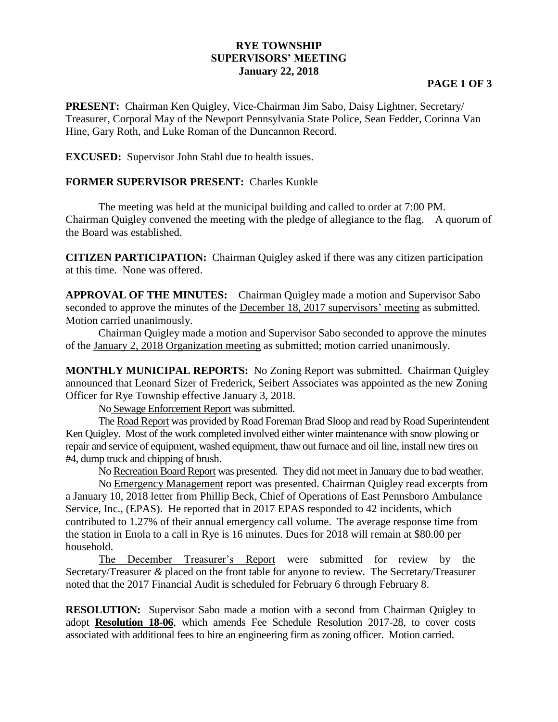## **RYE TOWNSHIP SUPERVISORS' MEETING January 22, 2018**

## **PAGE 1 OF 3**

**PRESENT:** Chairman Ken Quigley, Vice-Chairman Jim Sabo, Daisy Lightner, Secretary/ Treasurer, Corporal May of the Newport Pennsylvania State Police, Sean Fedder, Corinna Van Hine, Gary Roth, and Luke Roman of the Duncannon Record.

**EXCUSED:** Supervisor John Stahl due to health issues.

## **FORMER SUPERVISOR PRESENT:** Charles Kunkle

The meeting was held at the municipal building and called to order at 7:00 PM. Chairman Quigley convened the meeting with the pledge of allegiance to the flag. A quorum of the Board was established.

**CITIZEN PARTICIPATION:** Chairman Quigley asked if there was any citizen participation at this time. None was offered.

**APPROVAL OF THE MINUTES:** Chairman Quigley made a motion and Supervisor Sabo seconded to approve the minutes of the December 18, 2017 supervisors' meeting as submitted. Motion carried unanimously.

Chairman Quigley made a motion and Supervisor Sabo seconded to approve the minutes of the January 2, 2018 Organization meeting as submitted; motion carried unanimously.

**MONTHLY MUNICIPAL REPORTS:** No Zoning Report was submitted. Chairman Quigley announced that Leonard Sizer of Frederick, Seibert Associates was appointed as the new Zoning Officer for Rye Township effective January 3, 2018.

No Sewage Enforcement Report was submitted.

The Road Report was provided by Road Foreman Brad Sloop and read by Road Superintendent Ken Quigley. Most of the work completed involved either winter maintenance with snow plowing or repair and service of equipment, washed equipment, thaw out furnace and oil line, install new tires on #4, dump truck and chipping of brush.

No Recreation Board Report was presented. They did not meet in January due to bad weather.

No Emergency Management report was presented. Chairman Quigley read excerpts from a January 10, 2018 letter from Phillip Beck, Chief of Operations of East Pennsboro Ambulance Service, Inc., (EPAS). He reported that in 2017 EPAS responded to 42 incidents, which contributed to 1.27% of their annual emergency call volume. The average response time from the station in Enola to a call in Rye is 16 minutes. Dues for 2018 will remain at \$80.00 per household.

The December Treasurer's Report were submitted for review by the Secretary/Treasurer *&* placed on the front table for anyone to review. The Secretary/Treasurer noted that the 2017 Financial Audit is scheduled for February 6 through February 8.

**RESOLUTION:** Supervisor Sabo made a motion with a second from Chairman Quigley to adopt **Resolution 18-06**, which amends Fee Schedule Resolution 2017-28, to cover costs associated with additional fees to hire an engineering firm as zoning officer. Motion carried.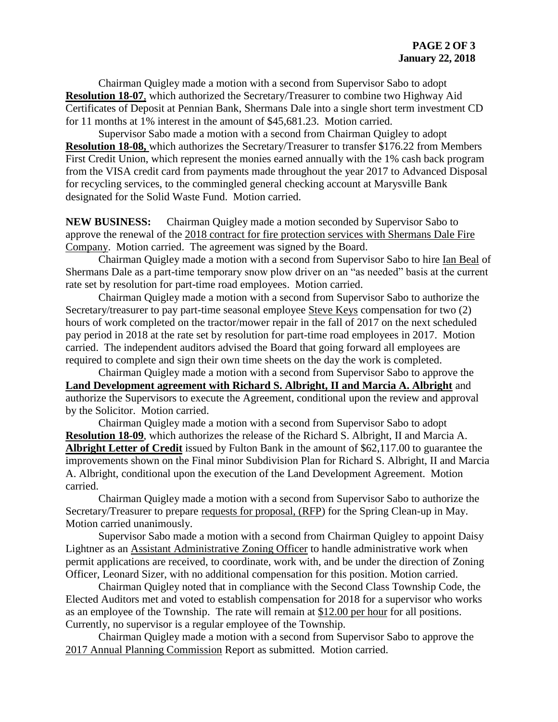Chairman Quigley made a motion with a second from Supervisor Sabo to adopt **Resolution 18-07**, which authorized the Secretary/Treasurer to combine two Highway Aid Certificates of Deposit at Pennian Bank, Shermans Dale into a single short term investment CD for 11 months at 1% interest in the amount of \$45,681.23. Motion carried.

Supervisor Sabo made a motion with a second from Chairman Quigley to adopt **Resolution 18-08,** which authorizes the Secretary/Treasurer to transfer \$176.22 from Members First Credit Union, which represent the monies earned annually with the 1% cash back program from the VISA credit card from payments made throughout the year 2017 to Advanced Disposal for recycling services, to the commingled general checking account at Marysville Bank designated for the Solid Waste Fund. Motion carried.

**NEW BUSINESS:** Chairman Quigley made a motion seconded by Supervisor Sabo to approve the renewal of the 2018 contract for fire protection services with Shermans Dale Fire Company. Motion carried. The agreement was signed by the Board.

Chairman Quigley made a motion with a second from Supervisor Sabo to hire Ian Beal of Shermans Dale as a part-time temporary snow plow driver on an "as needed" basis at the current rate set by resolution for part-time road employees. Motion carried.

Chairman Quigley made a motion with a second from Supervisor Sabo to authorize the Secretary/treasurer to pay part-time seasonal employee Steve Keys compensation for two (2) hours of work completed on the tractor/mower repair in the fall of 2017 on the next scheduled pay period in 2018 at the rate set by resolution for part-time road employees in 2017. Motion carried. The independent auditors advised the Board that going forward all employees are required to complete and sign their own time sheets on the day the work is completed.

Chairman Quigley made a motion with a second from Supervisor Sabo to approve the **Land Development agreement with Richard S. Albright, II and Marcia A. Albright** and authorize the Supervisors to execute the Agreement, conditional upon the review and approval by the Solicitor. Motion carried.

Chairman Quigley made a motion with a second from Supervisor Sabo to adopt **Resolution 18-09**, which authorizes the release of the Richard S. Albright, II and Marcia A. **Albright Letter of Credit** issued by Fulton Bank in the amount of \$62,117.00 to guarantee the improvements shown on the Final minor Subdivision Plan for Richard S. Albright, II and Marcia A. Albright, conditional upon the execution of the Land Development Agreement. Motion carried.

Chairman Quigley made a motion with a second from Supervisor Sabo to authorize the Secretary/Treasurer to prepare requests for proposal, (RFP) for the Spring Clean-up in May. Motion carried unanimously.

Supervisor Sabo made a motion with a second from Chairman Quigley to appoint Daisy Lightner as an Assistant Administrative Zoning Officer to handle administrative work when permit applications are received, to coordinate, work with, and be under the direction of Zoning Officer, Leonard Sizer, with no additional compensation for this position. Motion carried.

Chairman Quigley noted that in compliance with the Second Class Township Code, the Elected Auditors met and voted to establish compensation for 2018 for a supervisor who works as an employee of the Township. The rate will remain at \$12.00 per hour for all positions. Currently, no supervisor is a regular employee of the Township.

Chairman Quigley made a motion with a second from Supervisor Sabo to approve the 2017 Annual Planning Commission Report as submitted. Motion carried.